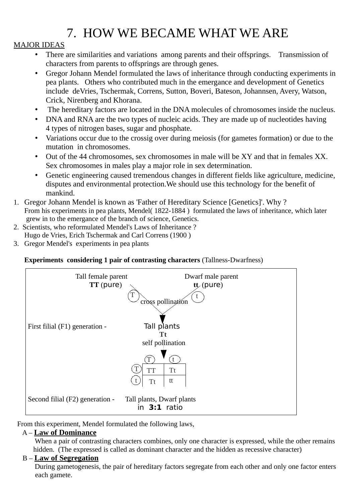# 7. HOW WE BECAME WHAT WE ARE

## MAJOR IDEAS

- There are similarities and variations among parents and their offsprings. Transmission of characters from parents to offsprings are through genes.
- Gregor Johann Mendel formulated the laws of inheritance through conducting experiments in pea plants. Others who contributed much in the emergance and development of Genetics include deVries, Tschermak, Correns, Sutton, Boveri, Bateson, Johannsen, Avery, Watson, Crick, Nirenberg and Khorana.
- The hereditary factors are located in the DNA molecules of chromosomes inside the nucleus.
- DNA and RNA are the two types of nucleic acids. They are made up of nucleotides having 4 types of nitrogen bases, sugar and phosphate.
- Variations occur due to the crossig over during meiosis (for gametes formation) or due to the mutation in chromosomes.
- Out of the 44 chromosomes, sex chromosomes in male will be XY and that in females XX. Sex chromosomes in males play a major role in sex determination.
- Genetic engineering caused tremendous changes in different fields like agriculture, medicine, disputes and environmental protection.We should use this technology for the benefit of mankind.
- 1. Gregor Johann Mendel is known as 'Father of Hereditary Science [Genetics]'. Why ? From his experiments in pea plants, Mendel( 1822-1884 ) formulated the laws of inheritance, which later grew in to the emergance of the branch of science, Genetics.
- 2. Scientists, who reformulated Mendel's Laws of Inheritance ?
- Hugo de Vries, Erich Tschermak and Carl Correns (1900 )
- 3. Gregor Mendel's experiments in pea plants

### **Experiments considering 1 pair of contrasting characters** (Tallness-Dwarfness)



From this experiment, Mendel formulated the following laws,

#### A – **Law of Dominance**

When a pair of contrasting characters combines, only one character is expressed, while the other remains hidden. (The expressed is called as dominant character and the hidden as recessive character)

#### B – **Law of Segregation**

During gametogenesis, the pair of hereditary factors segregate from each other and only one factor enters each gamete.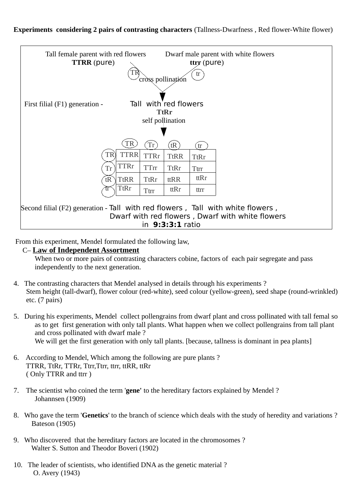

From this experiment, Mendel formulated the following law,

#### C– **Law of Independent Assortment**

When two or more pairs of contrasting characters cobine, factors of each pair segregate and pass independently to the next generation.

- 4. The contrasting characters that Mendel analysed in details through his experiments ? Stem height (tall-dwarf), flower colour (red-white), seed colour (yellow-green), seed shape (round-wrinkled) etc. (7 pairs)
- 5. During his experiments, Mendel collect pollengrains from dwarf plant and cross pollinated with tall femal so as to get first generation with only tall plants. What happen when we collect pollengrains from tall plant and cross pollinated with dwarf male ? We will get the first generation with only tall plants. [because, tallness is dominant in pea plants]
- 6. According to Mendel, Which among the following are pure plants ? TTRR, TtRr, TTRr, Ttrr,Ttrr, ttrr, ttRR, ttRr ( Only TTRR and ttrr )
- 7. The scientist who coined the term '**gene'** to the hereditary factors explained by Mendel ? Johannsen (1909)
- 8. Who gave the term '**Genetics**' to the branch of science which deals with the study of heredity and variations ? Bateson (1905)
- 9. Who discovered that the hereditary factors are located in the chromosomes ? Walter S. Sutton and Theodor Boveri (1902)
- 10. The leader of scientists, who identified DNA as the genetic material ? O. Avery (1943)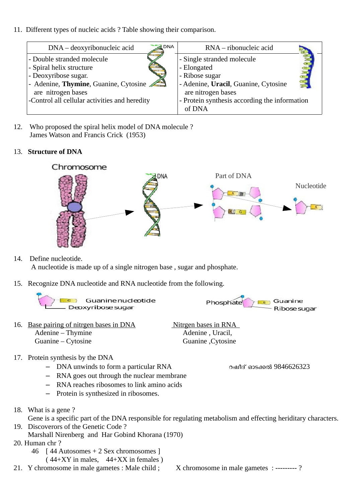11. Different types of nucleic acids ? Table showing their comparison.

| <b>DNA</b><br>DNA – deoxyribonucleic acid     | RNA – ribonucleic acid                        |
|-----------------------------------------------|-----------------------------------------------|
| - Double stranded molecule                    | - Single stranded molecule                    |
| - Spiral helix structure                      | - Elongated                                   |
| - Deoxyribose sugar.                          | - Ribose sugar                                |
| - Adenine, Thymine, Guanine, Cytosine         | - Adenine, Uracil, Guanine, Cytosine          |
| are nitrogen bases                            | are nitrogen bases                            |
| -Control all cellular activities and heredity | - Protein synthesis according the information |
|                                               | of DNA                                        |

12. Who proposed the spiral helix model of DNA molecule ? James Watson and Francis Crick (1953)

#### 13. **Structure of DNA**



14. Define nucleotide.

A nucleotide is made up of a single nitrogen base , sugar and phosphate.

15. Recognize DNA nucleotide and RNA nucleotide from the following.

Guanine Phosphate - Ribose sugar

16. Base pairing of nitrgen bases in DNA Nitrgen bases in RNA Adenine – Thymine **Adenine** , Uracil, Guanine – Cytosine Guanine ,Cytosine

- 17. Protein synthesis by the DNA
	- DNA unwinds to form a particular RNA റഷീദ് ഓടക്കൽ 9846626323
	- RNA goes out through the nuclear membrane
	- RNA reaches ribosomes to link amino acids
	- Protein is synthesized in ribosomes.
- 18. What is a gene ?

Gene is a specific part of the DNA responsible for regulating metabolism and effecting heriditary characters.

- 19. Discoverors of the Genetic Code ?
	- Marshall Nirenberg and Har Gobind Khorana (1970)
- 20. Human chr ?
	- 46 [ 44 Autosomes + 2 Sex chromosomes ]  $(44+XY$  in males,  $44+XX$  in females)
- 21. Y chromosome in male gametes : Male child ; X chromosome in male gametes : -------- ?